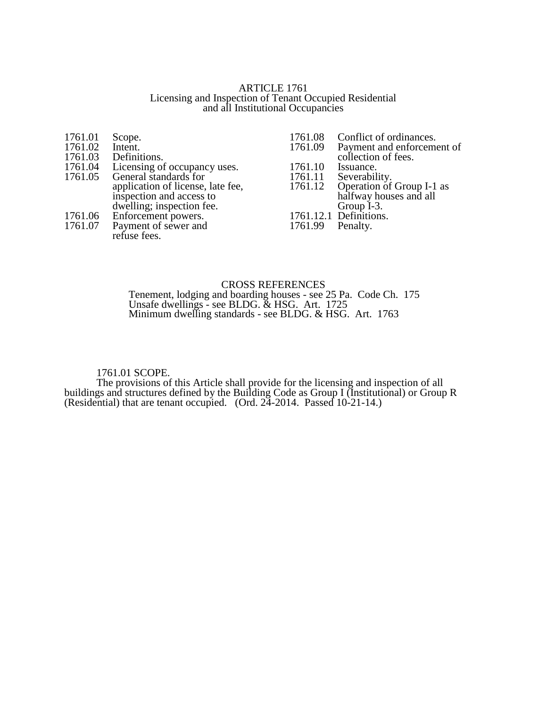### ARTICLE 1761 Licensing and Inspection of Tenant Occupied Residential and all Institutional Occupancies

| 1761.01 | Scope.                                                |         | 1761.08 Conflict of ordinances.   |
|---------|-------------------------------------------------------|---------|-----------------------------------|
| 1761.02 | Intent.                                               | 1761.09 | Payment and enforcement of        |
| 1761.03 | Definitions.                                          |         | collection of fees.               |
| 1761.04 | Licensing of occupancy uses.<br>General standards for | 1761.10 | Issuance.                         |
| 1761.05 |                                                       | 1761.11 | Severability.                     |
|         | application of license, late fee,                     |         | 1761.12 Operation of Group I-1 as |
|         | inspection and access to                              |         | halfway houses and all            |
|         | dwelling; inspection fee.                             |         | Group I-3.                        |
| 1761.06 | Enforcement powers.                                   |         | 1761.12.1 Definitions.            |
| 1761.07 | Payment of sewer and                                  | 1761.99 | Penalty.                          |
|         | refuse fees.                                          |         |                                   |
|         |                                                       |         |                                   |

### CROSS REFERENCES

Tenement, lodging and boarding houses - see 25 Pa. Code Ch. 175 Unsafe dwellings - see BLDG. & HSG. Art. 1725 Minimum dwelling standards - see BLDG. & HSG. Art. 1763

1761.01 SCOPE.

The provisions of this Article shall provide for the licensing and inspection of all buildings and structures defined by the Building Code as Group I (Institutional) or Group R (Residential) that are tenant occupied. (Ord. 24-2014. Passed 10-21-14.)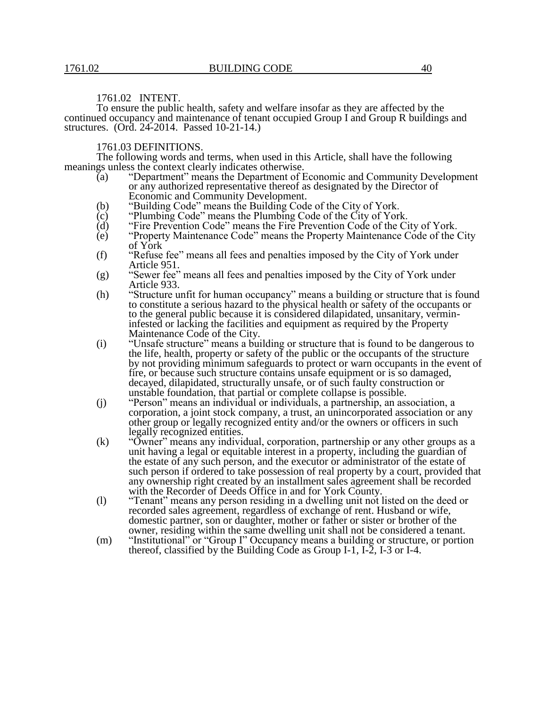### 1761.02 INTENT.

To ensure the public health, safety and welfare insofar as they are affected by the continued occupancy and maintenance of tenant occupied Group I and Group R buildings and structures. (Ord. 24-2014. Passed 10-21-14.)

## 1761.03 DEFINITIONS.

The following words and terms, when used in this Article, shall have the following meanings unless the context clearly indicates otherwise.

- (a) "Department" means the Department of Economic and Community Development or any authorized representative thereof as designated by the Director of Economic and Community Development.
- (b) "Building Code" means the Building Code of the City of York.
- (c) "Plumbing Code" means the Plumbing Code of the City of York.
- (d) "Fire Prevention Code" means the Fire Prevention Code of the City of York.
- (e) "Property Maintenance Code" means the Property Maintenance Code of the City of York
- (f) "Refuse fee" means all fees and penalties imposed by the City of York under Article 951.
- (g) "Sewer fee" means all fees and penalties imposed by the City of York under Article 933.
- (h) "Structure unfit for human occupancy" means a building or structure that is found to constitute a serious hazard to the physical health or safety of the occupants or to the general public because it is considered dilapidated, unsanitary, vermininfested or lacking the facilities and equipment as required by the Property Maintenance Code of the City.
- (i) "Unsafe structure" means a building or structure that is found to be dangerous to the life, health, property or safety of the public or the occupants of the structure by not providing minimum safeguards to protect or warn occupants in the event of fire, or because such structure contains unsafe equipment or is so damaged, decayed, dilapidated, structurally unsafe, or of such faulty construction or unstable foundation, that partial or complete collapse is possible.
- (j) "Person" means an individual or individuals, a partnership, an association, a corporation, a joint stock company, a trust, an unincorporated association or any other group or legally recognized entity and/or the owners or officers in such legally recognized entities.
- (k) "Owner" means any individual, corporation, partnership or any other groups as a unit having a legal or equitable interest in a property, including the guardian of the estate of any such person, and the executor or administrator of the estate of such person if ordered to take possession of real property by a court, provided that any ownership right created by an installment sales agreement shall be recorded with the Recorder of Deeds Office in and for York County.
- (l) "Tenant" means any person residing in a dwelling unit not listed on the deed or recorded sales agreement, regardless of exchange of rent. Husband or wife, domestic partner, son or daughter, mother or father or sister or brother of the owner, residing within the same dwelling unit shall not be considered a tenant.
- (m) "Institutional" or "Group I" Occupancy means a building or structure, or portion thereof, classified by the Building Code as Group I-1, I-2, I-3 or I-4.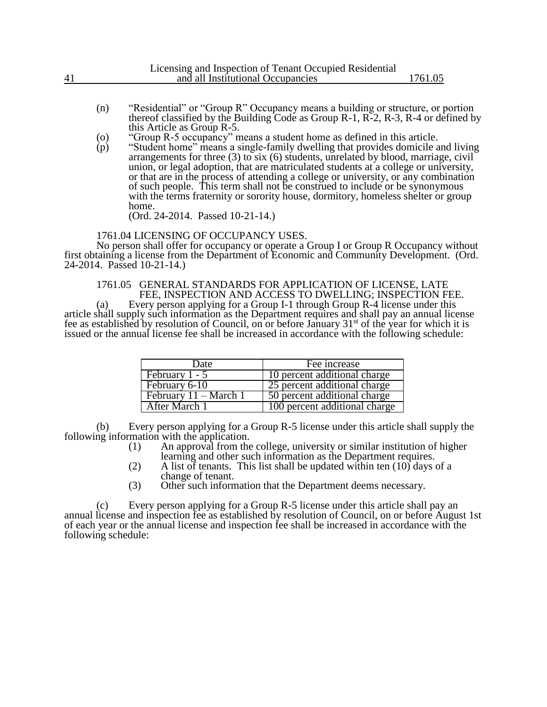- (n) "Residential" or "Group R" Occupancy means a building or structure, or portion thereof classified by the Building Code as Group R-1, R-2, R-3, R-4 or defined by this Article as Group R-5.
- (o) "Group R-5 occupancy" means a student home as defined in this article.
- (p) "Student home" means a single-family dwelling that provides domicile and living arrangements for three (3) to six (6) students, unrelated by blood, marriage, civil union, or legal adoption, that are matriculated students at a college or university, or that are in the process of attending a college or university, or any combination of such people. This term shall not be construed to include or be synonymous with the terms fraternity or sorority house, dormitory, homeless shelter or group home.

(Ord. 24-2014. Passed 10-21-14.)

1761.04 LICENSING OF OCCUPANCY USES.

No person shall offer for occupancy or operate a Group I or Group R Occupancy without first obtaining a license from the Department of Economic and Community Development. (Ord. 24-2014. Passed 10-21-14.)

1761.05 GENERAL STANDARDS FOR APPLICATION OF LICENSE, LATE FEE, INSPECTION AND ACCESS TO DWELLING; INSPECTION FEE.

(a) Every person applying for a Group I-1 through Group R-4 license under this article shall supply such information as the Department requires and shall pay an annual license fee as established by resolution of Council, on or before January 31<sup>st</sup> of the year for which it is issued or the annual license fee shall be increased in accordance with the following schedule:

| Date                            | Fee increase                  |
|---------------------------------|-------------------------------|
| February 1 - 5                  | 10 percent additional charge  |
| February 6-10                   | 25 percent additional charge  |
| February $11 - \text{March } 1$ | 50 percent additional charge  |
| After March 1                   | 100 percent additional charge |

(b) Every person applying for a Group R-5 license under this article shall supply the following information with the application.

- (1) An approval from the college, university or similar institution of higher learning and other such information as the Department requires.
- (2) A list of tenants. This list shall be updated within ten  $(10)$  days of a change of tenant.
- (3) Other such information that the Department deems necessary.

(c) Every person applying for a Group R-5 license under this article shall pay an annual license and inspection fee as established by resolution of Council, on or before August 1st of each year or the annual license and inspection fee shall be increased in accordance with the following schedule: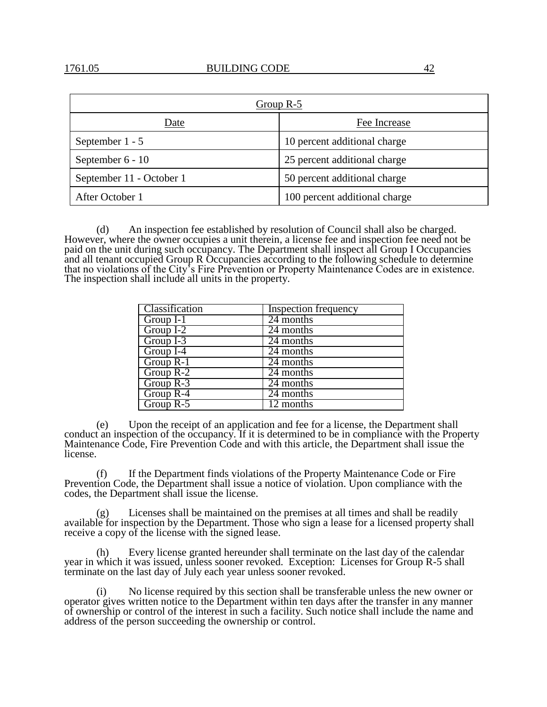| Group $R-5$              |                               |  |  |  |
|--------------------------|-------------------------------|--|--|--|
| Date                     | Fee Increase                  |  |  |  |
| September 1 - 5          | 10 percent additional charge  |  |  |  |
| September 6 - 10         | 25 percent additional charge  |  |  |  |
| September 11 - October 1 | 50 percent additional charge  |  |  |  |
| After October 1          | 100 percent additional charge |  |  |  |

(d) An inspection fee established by resolution of Council shall also be charged. However, where the owner occupies a unit therein, a license fee and inspection fee need not be paid on the unit during such occupancy. The Department shall inspect all Group I Occupancies and all tenant occupied Group R Occupancies according to the following schedule to determine that no violations of the City's Fire Prevention or Property Maintenance Codes are in existence. The inspection shall include all units in the property.

| <b>Classification</b> | <b>Inspection</b> frequency |
|-----------------------|-----------------------------|
| Group I-1             | 24 months                   |
| $Group I-2$           | 24 months                   |
| Group I-3             | 24 months                   |
| Group I-4             | 24 months                   |
| Group R-1             | $\sqrt{24}$ months          |
| Group $R-2$           | 24 months                   |
| Group $R-3$           | 24 months                   |
| Group $R-4$           | $\sqrt{24}$ months          |
| Group $R-5$           | $12$ months                 |

(e) Upon the receipt of an application and fee for a license, the Department shall conduct an inspection of the occupancy. If it is determined to be in compliance with the Property Maintenance Code, Fire Prevention Code and with this article, the Department shall issue the license.

(f) If the Department finds violations of the Property Maintenance Code or Fire Prevention Code, the Department shall issue a notice of violation. Upon compliance with the codes, the Department shall issue the license.

(g) Licenses shall be maintained on the premises at all times and shall be readily available for inspection by the Department. Those who sign a lease for a licensed property shall receive a copy of the license with the signed lease.

(h) Every license granted hereunder shall terminate on the last day of the calendar year in which it was issued, unless sooner revoked. Exception: Licenses for Group R-5 shall terminate on the last day of July each year unless sooner revoked.

(i) No license required by this section shall be transferable unless the new owner or operator gives written notice to the Department within ten days after the transfer in any manner of ownership or control of the interest in such a facility. Such notice shall include the name and address of the person succeeding the ownership or control.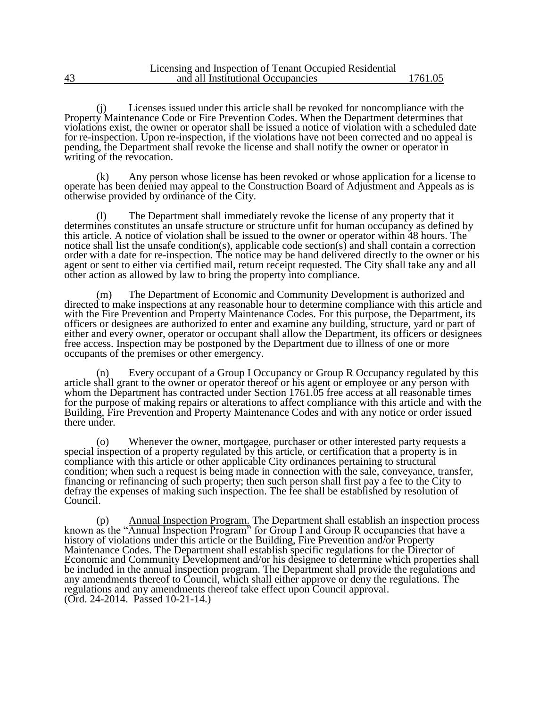|    | Licensing and Inspection of Tenant Occupied Residential |         |
|----|---------------------------------------------------------|---------|
| 43 | and all Institutional Occupancies                       | 1761.05 |

(j) Licenses issued under this article shall be revoked for noncompliance with the Property Maintenance Code or Fire Prevention Codes. When the Department determines that violations exist, the owner or operator shall be issued a notice of violation with a scheduled date for re-inspection. Upon re-inspection, if the violations have not been corrected and no appeal is pending, the Department shall revoke the license and shall notify the owner or operator in writing of the revocation.

(k) Any person whose license has been revoked or whose application for a license to operate has been denied may appeal to the Construction Board of Adjustment and Appeals as is otherwise provided by ordinance of the City.

(l) The Department shall immediately revoke the license of any property that it determines constitutes an unsafe structure or structure unfit for human occupancy as defined by this article. A notice of violation shall be issued to the owner or operator within 48 hours. The notice shall list the unsafe condition(s), applicable code section(s) and shall contain a correction order with a date for re-inspection. The notice may be hand delivered directly to the owner or his agent or sent to either via certified mail, return receipt requested. The City shall take any and all other action as allowed by law to bring the property into compliance.

(m) The Department of Economic and Community Development is authorized and directed to make inspections at any reasonable hour to determine compliance with this article and with the Fire Prevention and Property Maintenance Codes. For this purpose, the Department, its officers or designees are authorized to enter and examine any building, structure, yard or part of either and every owner, operator or occupant shall allow the Department, its officers or designees free access. Inspection may be postponed by the Department due to illness of one or more occupants of the premises or other emergency.

(n) Every occupant of a Group I Occupancy or Group R Occupancy regulated by this article shall grant to the owner or operator thereof or his agent or employee or any person with whom the Department has contracted under Section 1761.05 free access at all reasonable times for the purpose of making repairs or alterations to affect compliance with this article and with the Building, Fire Prevention and Property Maintenance Codes and with any notice or order issued there under.

(o) Whenever the owner, mortgagee, purchaser or other interested party requests a special inspection of a property regulated by this article, or certification that a property is in compliance with this article or other applicable City ordinances pertaining to structural condition; when such a request is being made in connection with the sale, conveyance, transfer, financing or refinancing of such property; then such person shall first pay a fee to the City to defray the expenses of making such inspection. The fee shall be established by resolution of Council.

(p) Annual Inspection Program. The Department shall establish an inspection process known as the "Annual Inspection Program" for Group I and Group R occupancies that have a history of violations under this article or the Building, Fire Prevention and/or Property Maintenance Codes. The Department shall establish specific regulations for the Director of Economic and Community Development and/or his designee to determine which properties shall be included in the annual inspection program. The Department shall provide the regulations and any amendments thereof to Council, which shall either approve or deny the regulations. The regulations and any amendments thereof take effect upon Council approval. (Ord. 24-2014. Passed 10-21-14.)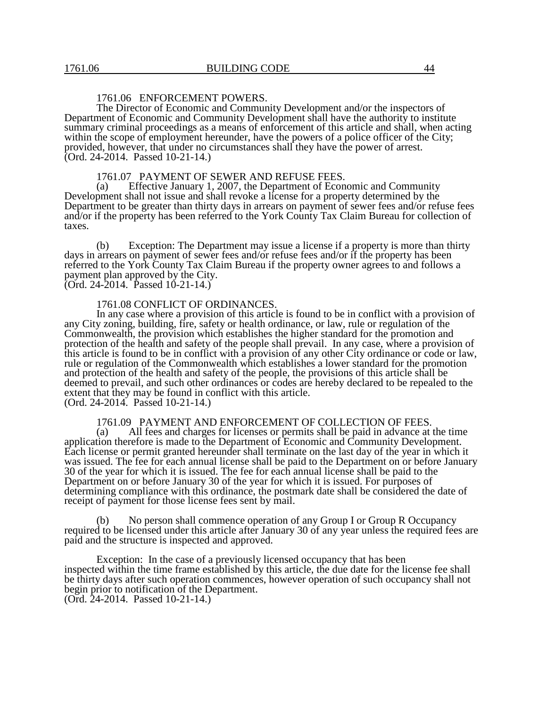# 1761.06 ENFORCEMENT POWERS.

The Director of Economic and Community Development and/or the inspectors of Department of Economic and Community Development shall have the authority to institute summary criminal proceedings as a means of enforcement of this article and shall, when acting within the scope of employment hereunder, have the powers of a police officer of the City; provided, however, that under no circumstances shall they have the power of arrest. (Ord. 24-2014. Passed 10-21-14.)

### 1761.07 PAYMENT OF SEWER AND REFUSE FEES.

(a) Effective January 1, 2007, the Department of Economic and Community Development shall not issue and shall revoke a license for a property determined by the Department to be greater than thirty days in arrears on payment of sewer fees and/or refuse fees and/or if the property has been referred to the York County Tax Claim Bureau for collection of taxes.

(b) Exception: The Department may issue a license if a property is more than thirty days in arrears on payment of sewer fees and/or refuse fees and/or if the property has been referred to the York County Tax Claim Bureau if the property owner agrees to and follows a payment plan approved by the City. (Ord. 24-2014. Passed 10-21-14.)

# 1761.08 CONFLICT OF ORDINANCES.

In any case where a provision of this article is found to be in conflict with a provision of any City zoning, building, fire, safety or health ordinance, or law, rule or regulation of the Commonwealth, the provision which establishes the higher standard for the promotion and protection of the health and safety of the people shall prevail. In any case, where a provision of this article is found to be in conflict with a provision of any other City ordinance or code or law, rule or regulation of the Commonwealth which establishes a lower standard for the promotion and protection of the health and safety of the people, the provisions of this article shall be deemed to prevail, and such other ordinances or codes are hereby declared to be repealed to the extent that they may be found in conflict with this article. (Ord. 24-2014. Passed 10-21-14.)

# 1761.09 PAYMENT AND ENFORCEMENT OF COLLECTION OF FEES.<br>(a) All fees and charges for licenses or permits shall be paid in advance at

All fees and charges for licenses or permits shall be paid in advance at the time application therefore is made to the Department of Economic and Community Development. Each license or permit granted hereunder shall terminate on the last day of the year in which it was issued. The fee for each annual license shall be paid to the Department on or before January 30 of the year for which it is issued. The fee for each annual license shall be paid to the Department on or before January 30 of the year for which it is issued. For purposes of determining compliance with this ordinance, the postmark date shall be considered the date of receipt of payment for those license fees sent by mail.

No person shall commence operation of any Group I or Group R Occupancy required to be licensed under this article after January 30 of any year unless the required fees are paid and the structure is inspected and approved.

Exception: In the case of a previously licensed occupancy that has been inspected within the time frame established by this article, the due date for the license fee shall be thirty days after such operation commences, however operation of such occupancy shall not begin prior to notification of the Department. (Ord. 24-2014. Passed 10-21-14.)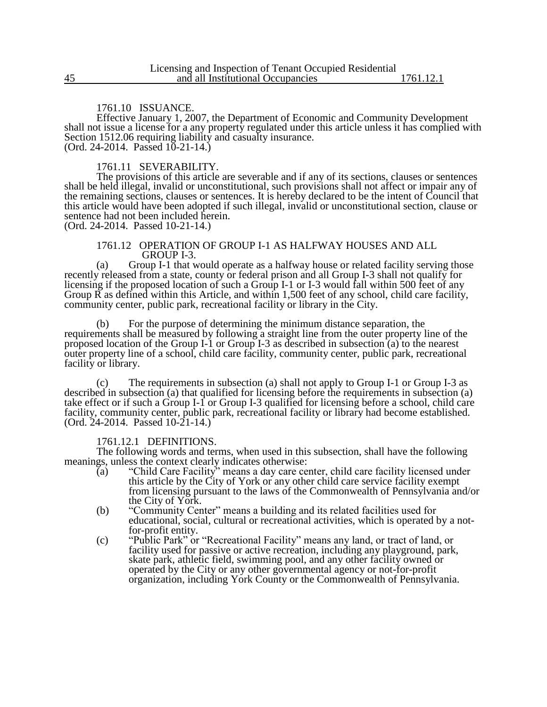# 1761.10 ISSUANCE.

Effective January 1, 2007, the Department of Economic and Community Development shall not issue a license for a any property regulated under this article unless it has complied with Section 1512.06 requiring liability and casualty insurance.  $(Ord. 24-2014.$  Passed  $10-21-14.$ )

### 1761.11 SEVERABILITY.

The provisions of this article are severable and if any of its sections, clauses or sentences shall be held illegal, invalid or unconstitutional, such provisions shall not affect or impair any of the remaining sections, clauses or sentences. It is hereby declared to be the intent of Council that this article would have been adopted if such illegal, invalid or unconstitutional section, clause or sentence had not been included herein.

(Ord. 24-2014. Passed 10-21-14.)

### 1761.12 OPERATION OF GROUP I-1 AS HALFWAY HOUSES AND ALL GROUP I-3.

(a) Group I-1 that would operate as a halfway house or related facility serving those recently released from a state, county or federal prison and all Group I-3 shall not qualify for licensing if the proposed location of such a Group I-1 or I-3 would fall within 500 feet of any Group  $\overline{R}$  as defined within this Article, and within 1,500 feet of any school, child care facility, community center, public park, recreational facility or library in the City.

(b) For the purpose of determining the minimum distance separation, the requirements shall be measured by following a straight line from the outer property line of the proposed location of the Group I-1 or Group I-3 as described in subsection (a) to the nearest outer property line of a school, child care facility, community center, public park, recreational facility or library.

(c) The requirements in subsection (a) shall not apply to Group I-1 or Group I-3 as described in subsection (a) that qualified for licensing before the requirements in subsection (a) take effect or if such a Group I-1 or Group I-3 qualified for licensing before a school, child care facility, community center, public park, recreational facility or library had become established. (Ord. 24-2014. Passed 10-21-14.)

## 1761.12.1 DEFINITIONS.

The following words and terms, when used in this subsection, shall have the following meanings, unless the context clearly indicates otherwise:

- (a) "Child Care Facility" means a day care center, child care facility licensed under this article by the City of York or any other child care service facility exempt from licensing pursuant to the laws of the Commonwealth of Pennsylvania and/or the City of York.
- (b) "Community Center" means a building and its related facilities used for educational, social, cultural or recreational activities, which is operated by a notfor-profit entity.
- (c) "Public Park" or "Recreational Facility" means any land, or tract of land, or facility used for passive or active recreation, including any playground, park, skate park, athletic field, swimming pool, and any other facility owned or operated by the City or any other governmental agency or not-for-profit organization, including York County or the Commonwealth of Pennsylvania.